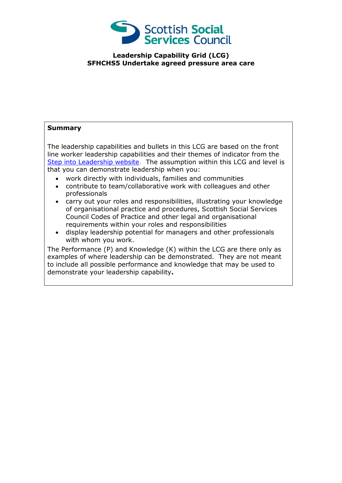

## **Leadership Capability Grid (LCG) SFHCHS5 Undertake agreed pressure area care**

## **Summary**

The leadership capabilities and bullets in this LCG are based on the front line worker leadership capabilities and their themes of indicator from the [Step into Leadership website.](http://www.stepintoleadership.info/) The assumption within this LCG and level is that you can demonstrate leadership when you:

- work directly with individuals, families and communities
- contribute to team/collaborative work with colleagues and other professionals
- carry out your roles and responsibilities, illustrating your knowledge of organisational practice and procedures, Scottish Social Services Council Codes of Practice and other legal and organisational requirements within your roles and responsibilities
- display leadership potential for managers and other professionals with whom you work.

The Performance (P) and Knowledge (K) within the LCG are there only as examples of where leadership can be demonstrated. They are not meant to include all possible performance and knowledge that may be used to demonstrate your leadership capability**.**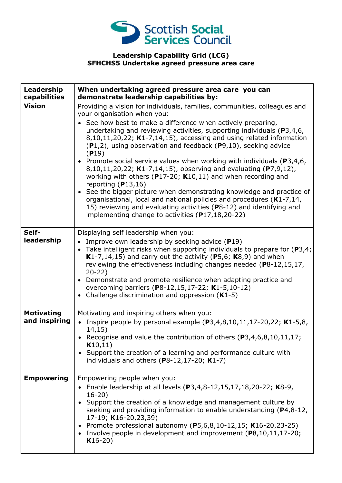

## **Leadership Capability Grid (LCG) SFHCHS5 Undertake agreed pressure area care**

| Leadership<br>capabilities         | When undertaking agreed pressure area care you can<br>demonstrate leadership capabilities by:                                                                                                                                                                                                                                                                                                                                                                                                                                                                                                                                                                                                                                                                                                                                                                                                                                       |
|------------------------------------|-------------------------------------------------------------------------------------------------------------------------------------------------------------------------------------------------------------------------------------------------------------------------------------------------------------------------------------------------------------------------------------------------------------------------------------------------------------------------------------------------------------------------------------------------------------------------------------------------------------------------------------------------------------------------------------------------------------------------------------------------------------------------------------------------------------------------------------------------------------------------------------------------------------------------------------|
| <b>Vision</b>                      | Providing a vision for individuals, families, communities, colleagues and<br>your organisation when you:<br>See how best to make a difference when actively preparing,<br>undertaking and reviewing activities, supporting individuals ( $P$ 3,4,6,<br>8,10,11,20,22; K1-7,14,15), accessing and using related information<br>(P1,2), using observation and feedback (P9,10), seeking advice<br>(P19)<br>• Promote social service values when working with individuals ( $P3,4,6$ ,<br>8,10,11,20,22; K1-7,14,15), observing and evaluating (P7,9,12),<br>working with others ( $P17-20$ ; K10,11) and when recording and<br>reporting $(P13,16)$<br>• See the bigger picture when demonstrating knowledge and practice of<br>organisational, local and national policies and procedures (K1-7,14,<br>15) reviewing and evaluating activities (P8-12) and identifying and<br>implementing change to activities $(P17, 18, 20 - 22)$ |
| Self-<br>leadership                | Displaying self leadership when you:<br>• Improve own leadership by seeking advice $(P19)$<br>• Take intelligent risks when supporting individuals to prepare for $(P3,4)$ ;<br>K1-7,14,15) and carry out the activity (P5,6; $K8,9$ ) and when<br>reviewing the effectiveness including changes needed (P8-12,15,17,<br>$20-22)$<br>• Demonstrate and promote resilience when adapting practice and<br>overcoming barriers (P8-12,15,17-22; K1-5,10-12)<br>• Challenge discrimination and oppression $(K1-5)$                                                                                                                                                                                                                                                                                                                                                                                                                      |
| <b>Motivating</b><br>and inspiring | Motivating and inspiring others when you:<br>• Inspire people by personal example $(P3, 4, 8, 10, 11, 17 - 20, 22; K1 - 5, 8,$<br>14,15)<br>• Recognise and value the contribution of others (P3,4,6,8,10,11,17;<br>K10,11)<br>• Support the creation of a learning and performance culture with<br>individuals and others ( $P8-12,17-20$ ; K1-7)                                                                                                                                                                                                                                                                                                                                                                                                                                                                                                                                                                                  |
| <b>Empowering</b>                  | Empowering people when you:<br>Enable leadership at all levels (P3,4,8-12,15,17,18,20-22; K8-9,<br>$16-20$ )<br>Support the creation of a knowledge and management culture by<br>seeking and providing information to enable understanding (P4,8-12,<br>17-19; K16-20,23,39)<br>• Promote professional autonomy (P5,6,8,10-12,15; K16-20,23-25)<br>• Involve people in development and improvement $(P8, 10, 11, 17-20)$ ;<br>$K16-20)$                                                                                                                                                                                                                                                                                                                                                                                                                                                                                             |